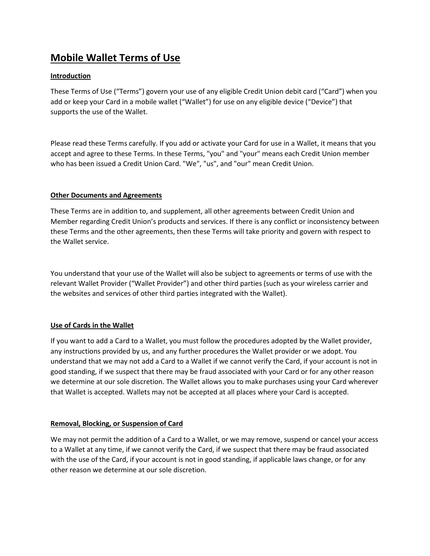# **Mobile Wallet Terms of Use**

# **Introduction**

These Terms of Use ("Terms") govern your use of any eligible Credit Union debit card ("Card") when you add or keep your Card in a mobile wallet ("Wallet") for use on any eligible device ("Device") that supports the use of the Wallet.

Please read these Terms carefully. If you add or activate your Card for use in a Wallet, it means that you accept and agree to these Terms. In these Terms, "you" and "your" means each Credit Union member who has been issued a Credit Union Card. "We", "us", and "our" mean Credit Union.

# **Other Documents and Agreements**

These Terms are in addition to, and supplement, all other agreements between Credit Union and Member regarding Credit Union's products and services. If there is any conflict or inconsistency between these Terms and the other agreements, then these Terms will take priority and govern with respect to the Wallet service.

You understand that your use of the Wallet will also be subject to agreements or terms of use with the relevant Wallet Provider ("Wallet Provider") and other third parties (such as your wireless carrier and the websites and services of other third parties integrated with the Wallet).

# **Use of Cards in the Wallet**

If you want to add a Card to a Wallet, you must follow the procedures adopted by the Wallet provider, any instructions provided by us, and any further procedures the Wallet provider or we adopt. You understand that we may not add a Card to a Wallet if we cannot verify the Card, if your account is not in good standing, if we suspect that there may be fraud associated with your Card or for any other reason we determine at our sole discretion. The Wallet allows you to make purchases using your Card wherever that Wallet is accepted. Wallets may not be accepted at all places where your Card is accepted.

# **Removal, Blocking, or Suspension of Card**

We may not permit the addition of a Card to a Wallet, or we may remove, suspend or cancel your access to a Wallet at any time, if we cannot verify the Card, if we suspect that there may be fraud associated with the use of the Card, if your account is not in good standing, if applicable laws change, or for any other reason we determine at our sole discretion.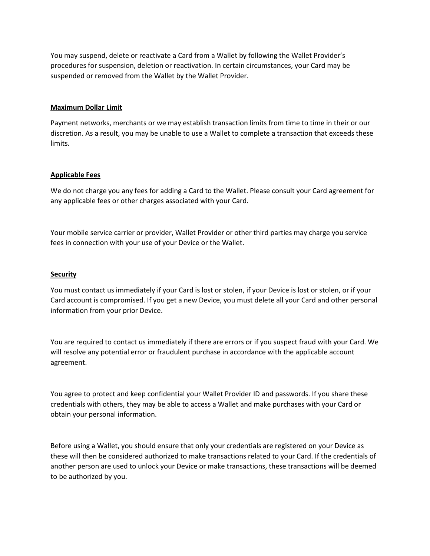You may suspend, delete or reactivate a Card from a Wallet by following the Wallet Provider's procedures for suspension, deletion or reactivation. In certain circumstances, your Card may be suspended or removed from the Wallet by the Wallet Provider.

### **Maximum Dollar Limit**

Payment networks, merchants or we may establish transaction limits from time to time in their or our discretion. As a result, you may be unable to use a Wallet to complete a transaction that exceeds these limits.

#### **Applicable Fees**

We do not charge you any fees for adding a Card to the Wallet. Please consult your Card agreement for any applicable fees or other charges associated with your Card.

Your mobile service carrier or provider, Wallet Provider or other third parties may charge you service fees in connection with your use of your Device or the Wallet.

#### **Security**

You must contact us immediately if your Card is lost or stolen, if your Device is lost or stolen, or if your Card account is compromised. If you get a new Device, you must delete all your Card and other personal information from your prior Device.

You are required to contact us immediately if there are errors or if you suspect fraud with your Card. We will resolve any potential error or fraudulent purchase in accordance with the applicable account agreement.

You agree to protect and keep confidential your Wallet Provider ID and passwords. If you share these credentials with others, they may be able to access a Wallet and make purchases with your Card or obtain your personal information.

Before using a Wallet, you should ensure that only your credentials are registered on your Device as these will then be considered authorized to make transactions related to your Card. If the credentials of another person are used to unlock your Device or make transactions, these transactions will be deemed to be authorized by you.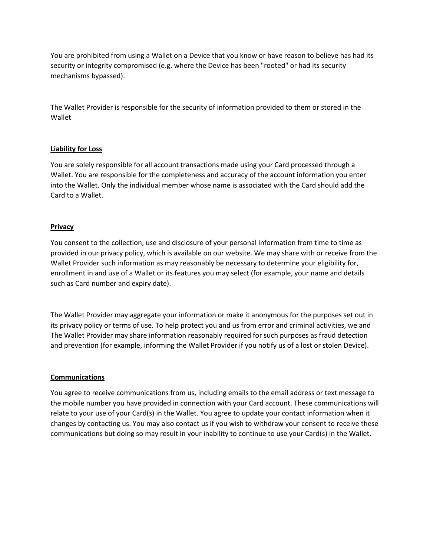You are prohibited from using a Wallet on a Device that you know or have reason to believe has had its security or integrity compromised (e.g. where the Device has been "rooted" or had its security mechanisms bypassed).

The Wallet Provider is responsible for the security of information provided to them or stored in the Wallet

## **Liability for Loss**

You are solely responsible for all account transactions made using your Card processed through a Wallet. You are responsible for the completeness and accuracy of the account information you enter into the Wallet. Only the individual member whose name is associated with the Card should add the Card to a Wallet.

## **Privacy**

You consent to the collection, use and disclosure of your personal information from time to time as provided in our privacy policy, which is available on our website. We may share with or receive from the Wallet Provider such information as may reasonably be necessary to determine your eligibility for, enrollment in and use of a Wallet or its features you may select (for example, your name and details such as Card number and expiry date).

The Wallet Provider may aggregate your information or make it anonymous for the purposes set out in its privacy policy or terms of use. To help protect you and us from error and criminal activities, we and The Wallet Provider may share information reasonably required for such purposes as fraud detection and prevention (for example, informing the Wallet Provider if you notify us of a lost or stolen Device).

## **Communications**

You agree to receive communications from us, including emails to the email address or text message to the mobile number you have provided in connection with your Card account. These communications will relate to your use of your Card(s) in the Wallet. You agree to update your contact information when it changes by contacting us. You may also contact us if you wish to withdraw your consent to receive these communications but doing so may result in your inability to continue to use your Card(s) in the Wallet.